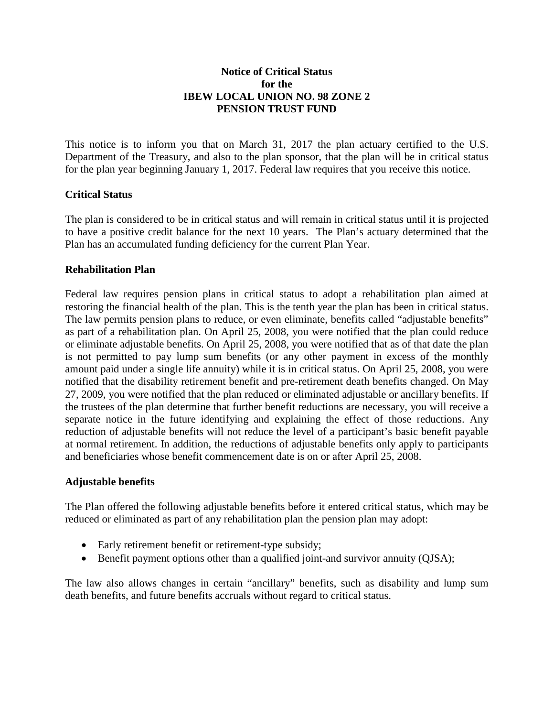## **Notice of Critical Status for the IBEW LOCAL UNION NO. 98 ZONE 2 PENSION TRUST FUND**

This notice is to inform you that on March 31, 2017 the plan actuary certified to the U.S. Department of the Treasury, and also to the plan sponsor, that the plan will be in critical status for the plan year beginning January 1, 2017. Federal law requires that you receive this notice.

# **Critical Status**

The plan is considered to be in critical status and will remain in critical status until it is projected to have a positive credit balance for the next 10 years. The Plan's actuary determined that the Plan has an accumulated funding deficiency for the current Plan Year.

### **Rehabilitation Plan**

Federal law requires pension plans in critical status to adopt a rehabilitation plan aimed at restoring the financial health of the plan. This is the tenth year the plan has been in critical status. The law permits pension plans to reduce, or even eliminate, benefits called "adjustable benefits" as part of a rehabilitation plan. On April 25, 2008, you were notified that the plan could reduce or eliminate adjustable benefits. On April 25, 2008, you were notified that as of that date the plan is not permitted to pay lump sum benefits (or any other payment in excess of the monthly amount paid under a single life annuity) while it is in critical status. On April 25, 2008, you were notified that the disability retirement benefit and pre-retirement death benefits changed. On May 27, 2009, you were notified that the plan reduced or eliminated adjustable or ancillary benefits. If the trustees of the plan determine that further benefit reductions are necessary, you will receive a separate notice in the future identifying and explaining the effect of those reductions. Any reduction of adjustable benefits will not reduce the level of a participant's basic benefit payable at normal retirement. In addition, the reductions of adjustable benefits only apply to participants and beneficiaries whose benefit commencement date is on or after April 25, 2008.

### **Adjustable benefits**

The Plan offered the following adjustable benefits before it entered critical status, which may be reduced or eliminated as part of any rehabilitation plan the pension plan may adopt:

- Early retirement benefit or retirement-type subsidy;
- Benefit payment options other than a qualified joint-and survivor annuity (QJSA);

The law also allows changes in certain "ancillary" benefits, such as disability and lump sum death benefits, and future benefits accruals without regard to critical status.